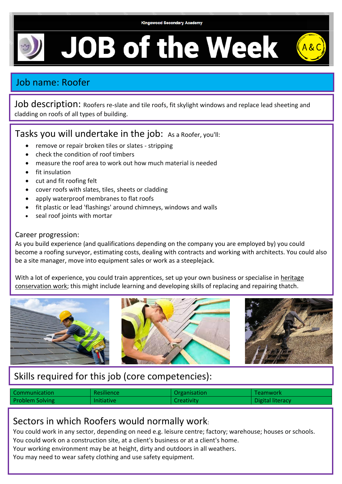**JOB of the Week** 

# Job name: Roofer

Job description: Roofers re-slate and tile roofs, fit skylight windows and replace lead sheeting and cladding on roofs of all types of building.

### Tasks you will undertake in the job: As a Roofer, you'll:

- remove or repair broken tiles or slates stripping
- check the condition of roof timbers
- measure the roof area to work out how much material is needed
- fit insulation
- cut and fit roofing felt
- cover roofs with slates, tiles, sheets or cladding
- apply waterproof membranes to flat roofs
- fit plastic or lead 'flashings' around chimneys, windows and walls
- seal roof joints with mortar

#### Career progression:

As you build experience (and qualifications depending on the company you are employed by) you could become a roofing surveyor, estimating costs, dealing with contracts and working with architects. You could also be a site manager, move into equipment sales or work as a steeplejack.

With a lot of experience, you could train apprentices, set up your own business or specialise in [heritage](http://www.the-nhtg.org.uk/)  [conservation work;](http://www.the-nhtg.org.uk/) this might include learning and developing skills of replacing and repairing thatch.



# Skills required for this job (core competencies):

| <b>Communication</b>   | <b>Resilience</b> | Organisation | <b>Teamwork</b>  |
|------------------------|-------------------|--------------|------------------|
| <b>Problem Solving</b> | <b>Initiative</b> | Creativity   | Digital literacy |

## Sectors in which Roofers would normally work:

You could work in any sector, depending on need e.g. leisure centre; factory; warehouse; houses or schools. You could work on a construction site, at a client's business or at a client's home.

Your working environment may be at height, dirty and outdoors in all weathers.

You may need to wear safety clothing and use safety equipment.